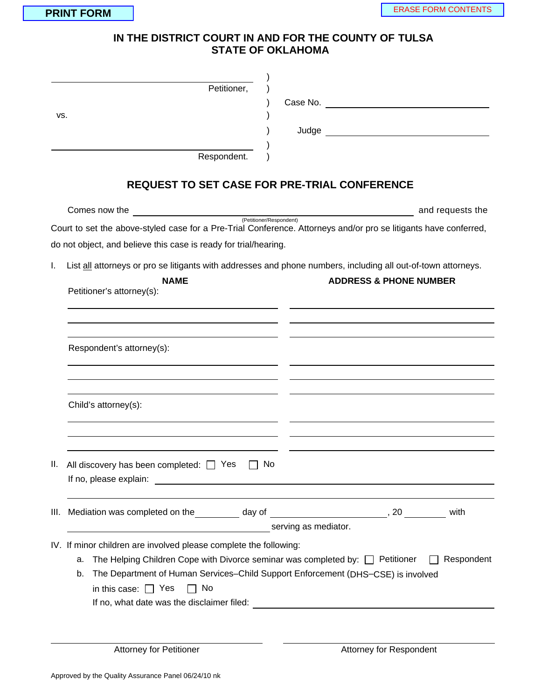## **IN THE DISTRICT COURT IN AND FOR THE COUNTY OF TULSA**<br>IN THE DISTRICT COURT IN AND FOR THE COUNTY OF TULSA **STATE OF OKLAHOMA**

| Petitioner,                                                       |                                                                                                                  |  |  |  |  |  |
|-------------------------------------------------------------------|------------------------------------------------------------------------------------------------------------------|--|--|--|--|--|
| vs.                                                               |                                                                                                                  |  |  |  |  |  |
|                                                                   |                                                                                                                  |  |  |  |  |  |
|                                                                   |                                                                                                                  |  |  |  |  |  |
| Respondent.                                                       |                                                                                                                  |  |  |  |  |  |
|                                                                   | REQUEST TO SET CASE FOR PRE-TRIAL CONFERENCE                                                                     |  |  |  |  |  |
| Comes now the                                                     | and requests the<br>(Petitioner/Respondent)                                                                      |  |  |  |  |  |
|                                                                   | Court to set the above-styled case for a Pre-Trial Conference. Attorneys and/or pro se litigants have conferred, |  |  |  |  |  |
| do not object, and believe this case is ready for trial/hearing.  |                                                                                                                  |  |  |  |  |  |
| I.                                                                | List all attorneys or pro se litigants with addresses and phone numbers, including all out-of-town attorneys.    |  |  |  |  |  |
| <b>NAME</b>                                                       | <b>ADDRESS &amp; PHONE NUMBER</b>                                                                                |  |  |  |  |  |
| Petitioner's attorney(s):                                         |                                                                                                                  |  |  |  |  |  |
|                                                                   |                                                                                                                  |  |  |  |  |  |
|                                                                   |                                                                                                                  |  |  |  |  |  |
| Respondent's attorney(s):                                         |                                                                                                                  |  |  |  |  |  |
|                                                                   |                                                                                                                  |  |  |  |  |  |
|                                                                   |                                                                                                                  |  |  |  |  |  |
|                                                                   |                                                                                                                  |  |  |  |  |  |
| Child's attorney(s):                                              |                                                                                                                  |  |  |  |  |  |
|                                                                   |                                                                                                                  |  |  |  |  |  |
|                                                                   |                                                                                                                  |  |  |  |  |  |
| II.<br>All discovery has been completed: $\Box$ Yes               | No                                                                                                               |  |  |  |  |  |
|                                                                   |                                                                                                                  |  |  |  |  |  |
|                                                                   |                                                                                                                  |  |  |  |  |  |
|                                                                   | with                                                                                                             |  |  |  |  |  |
| serving as mediator.                                              |                                                                                                                  |  |  |  |  |  |
| IV. If minor children are involved please complete the following: |                                                                                                                  |  |  |  |  |  |
| a.                                                                | Respondent<br>The Helping Children Cope with Divorce seminar was completed by: $\Box$ Petitioner                 |  |  |  |  |  |
| b.                                                                | The Department of Human Services-Child Support Enforcement (DHS-CSE) is involved                                 |  |  |  |  |  |
| in this case: $\Box$ Yes<br>No                                    |                                                                                                                  |  |  |  |  |  |
|                                                                   |                                                                                                                  |  |  |  |  |  |
|                                                                   |                                                                                                                  |  |  |  |  |  |
| <b>Attorney for Petitioner</b>                                    | Attorney for Respondent                                                                                          |  |  |  |  |  |
|                                                                   |                                                                                                                  |  |  |  |  |  |